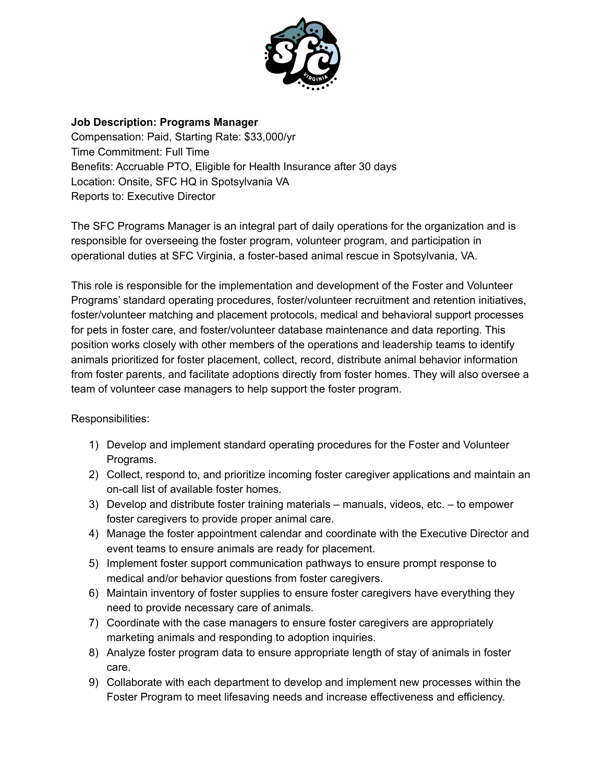

## **Job Description: Programs Manager**

Compensation: Paid, Starting Rate: \$33,000/yr Time Commitment: Full Time Benefits: Accruable PTO, Eligible for Health Insurance after 30 days Location: Onsite, SFC HQ in Spotsylvania VA Reports to: Executive Director

The SFC Programs Manager is an integral part of daily operations for the organization and is responsible for overseeing the foster program, volunteer program, and participation in operational duties at SFC Virginia, a foster-based animal rescue in Spotsylvania, VA.

This role is responsible for the implementation and development of the Foster and Volunteer Programs' standard operating procedures, foster/volunteer recruitment and retention initiatives, foster/volunteer matching and placement protocols, medical and behavioral support processes for pets in foster care, and foster/volunteer database maintenance and data reporting. This position works closely with other members of the operations and leadership teams to identify animals prioritized for foster placement, collect, record, distribute animal behavior information from foster parents, and facilitate adoptions directly from foster homes. They will also oversee a team of volunteer case managers to help support the foster program.

## Responsibilities:

- 1) Develop and implement standard operating procedures for the Foster and Volunteer Programs.
- 2) Collect, respond to, and prioritize incoming foster caregiver applications and maintain an on-call list of available foster homes.
- 3) Develop and distribute foster training materials manuals, videos, etc. to empower foster caregivers to provide proper animal care.
- 4) Manage the foster appointment calendar and coordinate with the Executive Director and event teams to ensure animals are ready for placement.
- 5) Implement foster support communication pathways to ensure prompt response to medical and/or behavior questions from foster caregivers.
- 6) Maintain inventory of foster supplies to ensure foster caregivers have everything they need to provide necessary care of animals.
- 7) Coordinate with the case managers to ensure foster caregivers are appropriately marketing animals and responding to adoption inquiries.
- 8) Analyze foster program data to ensure appropriate length of stay of animals in foster care.
- 9) Collaborate with each department to develop and implement new processes within the Foster Program to meet lifesaving needs and increase effectiveness and efficiency.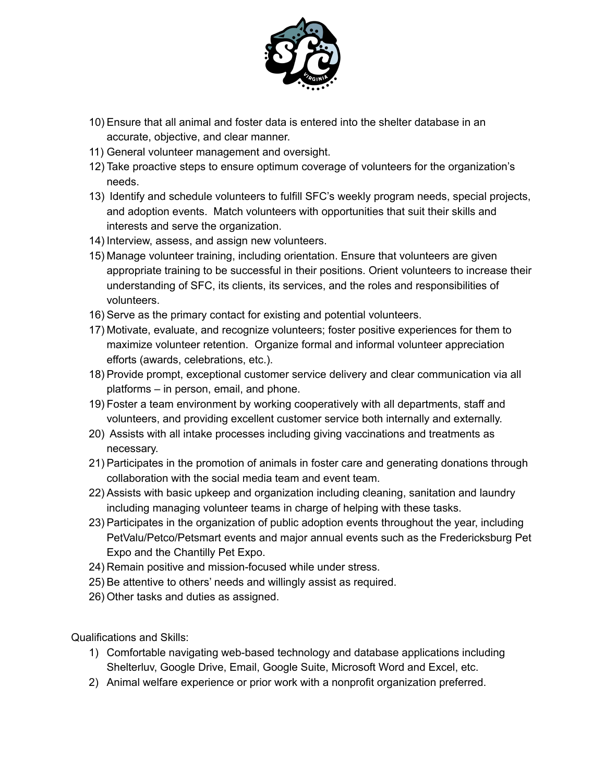

- 10) Ensure that all animal and foster data is entered into the shelter database in an accurate, objective, and clear manner.
- 11) General volunteer management and oversight.
- 12) Take proactive steps to ensure optimum coverage of volunteers for the organization's needs.
- 13) Identify and schedule volunteers to fulfill SFC's weekly program needs, special projects, and adoption events. Match volunteers with opportunities that suit their skills and interests and serve the organization.
- 14) Interview, assess, and assign new volunteers.
- 15) Manage volunteer training, including orientation. Ensure that volunteers are given appropriate training to be successful in their positions. Orient volunteers to increase their understanding of SFC, its clients, its services, and the roles and responsibilities of volunteers.
- 16) Serve as the primary contact for existing and potential volunteers.
- 17) Motivate, evaluate, and recognize volunteers; foster positive experiences for them to maximize volunteer retention. Organize formal and informal volunteer appreciation efforts (awards, celebrations, etc.).
- 18) Provide prompt, exceptional customer service delivery and clear communication via all platforms – in person, email, and phone.
- 19) Foster a team environment by working cooperatively with all departments, staff and volunteers, and providing excellent customer service both internally and externally.
- 20) Assists with all intake processes including giving vaccinations and treatments as necessary.
- 21) Participates in the promotion of animals in foster care and generating donations through collaboration with the social media team and event team.
- 22) Assists with basic upkeep and organization including cleaning, sanitation and laundry including managing volunteer teams in charge of helping with these tasks.
- 23) Participates in the organization of public adoption events throughout the year, including PetValu/Petco/Petsmart events and major annual events such as the Fredericksburg Pet Expo and the Chantilly Pet Expo.
- 24) Remain positive and mission-focused while under stress.
- 25) Be attentive to others' needs and willingly assist as required.
- 26) Other tasks and duties as assigned.

Qualifications and Skills:

- 1) Comfortable navigating web-based technology and database applications including Shelterluv, Google Drive, Email, Google Suite, Microsoft Word and Excel, etc.
- 2) Animal welfare experience or prior work with a nonprofit organization preferred.